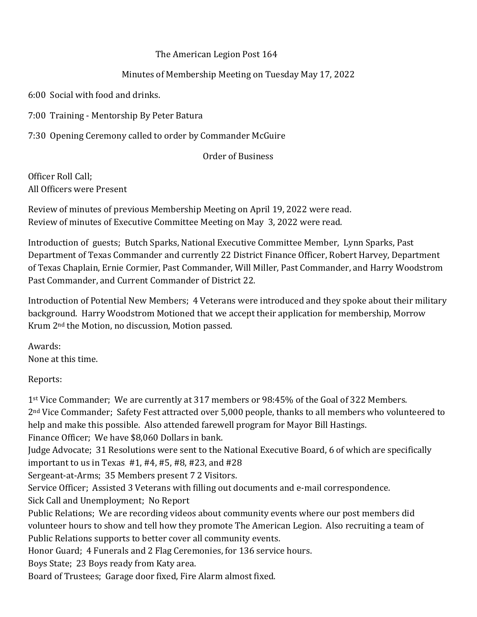### The American Legion Post 164

## Minutes of Membership Meeting on Tuesday May 17, 2022

6:00 Social with food and drinks.

7:00 Training - Mentorship By Peter Batura

7:30 Opening Ceremony called to order by Commander McGuire

### Order of Business

Officer Roll Call; All Officers were Present

Review of minutes of previous Membership Meeting on April 19, 2022 were read. Review of minutes of Executive Committee Meeting on May 3, 2022 were read.

Introduction of guests; Butch Sparks, National Executive Committee Member, Lynn Sparks, Past Department of Texas Commander and currently 22 District Finance Officer, Robert Harvey, Department of Texas Chaplain, Ernie Cormier, Past Commander, Will Miller, Past Commander, and Harry Woodstrom Past Commander, and Current Commander of District 22.

Introduction of Potential New Members; 4 Veterans were introduced and they spoke about their military background. Harry Woodstrom Motioned that we accept their application for membership, Morrow Krum 2nd the Motion, no discussion, Motion passed.

Awards: None at this time.

Reports:

1st Vice Commander; We are currently at 317 members or 98:45% of the Goal of 322 Members. 2nd Vice Commander; Safety Fest attracted over 5,000 people, thanks to all members who volunteered to help and make this possible. Also attended farewell program for Mayor Bill Hastings. Finance Officer; We have \$8,060 Dollars in bank. Judge Advocate; 31 Resolutions were sent to the National Executive Board, 6 of which are specifically important to us in Texas #1, #4, #5, #8, #23, and #28 Sergeant-at-Arms; 35 Members present 7 2 Visitors. Service Officer; Assisted 3 Veterans with filling out documents and e-mail correspondence. Sick Call and Unemployment; No Report Public Relations; We are recording videos about community events where our post members did volunteer hours to show and tell how they promote The American Legion. Also recruiting a team of Public Relations supports to better cover all community events. Honor Guard; 4 Funerals and 2 Flag Ceremonies, for 136 service hours. Boys State; 23 Boys ready from Katy area. Board of Trustees; Garage door fixed, Fire Alarm almost fixed.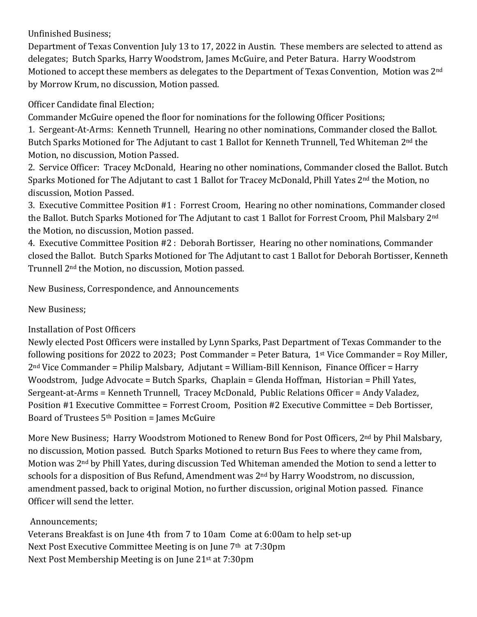## Unfinished Business;

Department of Texas Convention July 13 to 17, 2022 in Austin. These members are selected to attend as delegates; Butch Sparks, Harry Woodstrom, James McGuire, and Peter Batura. Harry Woodstrom Motioned to accept these members as delegates to the Department of Texas Convention, Motion was 2<sup>nd</sup> by Morrow Krum, no discussion, Motion passed.

Officer Candidate final Election;

Commander McGuire opened the floor for nominations for the following Officer Positions;

1. Sergeant-At-Arms: Kenneth Trunnell, Hearing no other nominations, Commander closed the Ballot. Butch Sparks Motioned for The Adjutant to cast 1 Ballot for Kenneth Trunnell, Ted Whiteman 2<sup>nd</sup> the Motion, no discussion, Motion Passed.

2. Service Officer: Tracey McDonald, Hearing no other nominations, Commander closed the Ballot. Butch Sparks Motioned for The Adjutant to cast 1 Ballot for Tracey McDonald, Phill Yates 2<sup>nd</sup> the Motion, no discussion, Motion Passed.

3. Executive Committee Position #1 : Forrest Croom, Hearing no other nominations, Commander closed the Ballot. Butch Sparks Motioned for The Adjutant to cast 1 Ballot for Forrest Croom, Phil Malsbary 2nd the Motion, no discussion, Motion passed.

4. Executive Committee Position #2 : Deborah Bortisser, Hearing no other nominations, Commander closed the Ballot. Butch Sparks Motioned for The Adjutant to cast 1 Ballot for Deborah Bortisser, Kenneth Trunnell 2nd the Motion, no discussion, Motion passed.

New Business, Correspondence, and Announcements

New Business;

# Installation of Post Officers

Newly elected Post Officers were installed by Lynn Sparks, Past Department of Texas Commander to the following positions for 2022 to 2023; Post Commander = Peter Batura, 1<sup>st</sup> Vice Commander = Roy Miller, 2nd Vice Commander = Philip Malsbary, Adjutant = William-Bill Kennison, Finance Officer = Harry Woodstrom, Judge Advocate = Butch Sparks, Chaplain = Glenda Hoffman, Historian = Phill Yates, Sergeant-at-Arms = Kenneth Trunnell, Tracey McDonald, Public Relations Officer = Andy Valadez, Position #1 Executive Committee = Forrest Croom, Position #2 Executive Committee = Deb Bortisser, Board of Trustees  $5<sup>th</sup>$  Position = James McGuire

More New Business; Harry Woodstrom Motioned to Renew Bond for Post Officers, 2nd by Phil Malsbary, no discussion, Motion passed. Butch Sparks Motioned to return Bus Fees to where they came from, Motion was 2nd by Phill Yates, during discussion Ted Whiteman amended the Motion to send a letter to schools for a disposition of Bus Refund, Amendment was 2<sup>nd</sup> by Harry Woodstrom, no discussion, amendment passed, back to original Motion, no further discussion, original Motion passed. Finance Officer will send the letter.

# Announcements;

Veterans Breakfast is on June 4th from 7 to 10am Come at 6:00am to help set-up Next Post Executive Committee Meeting is on June 7<sup>th</sup> at 7:30pm Next Post Membership Meeting is on June 21st at 7:30pm